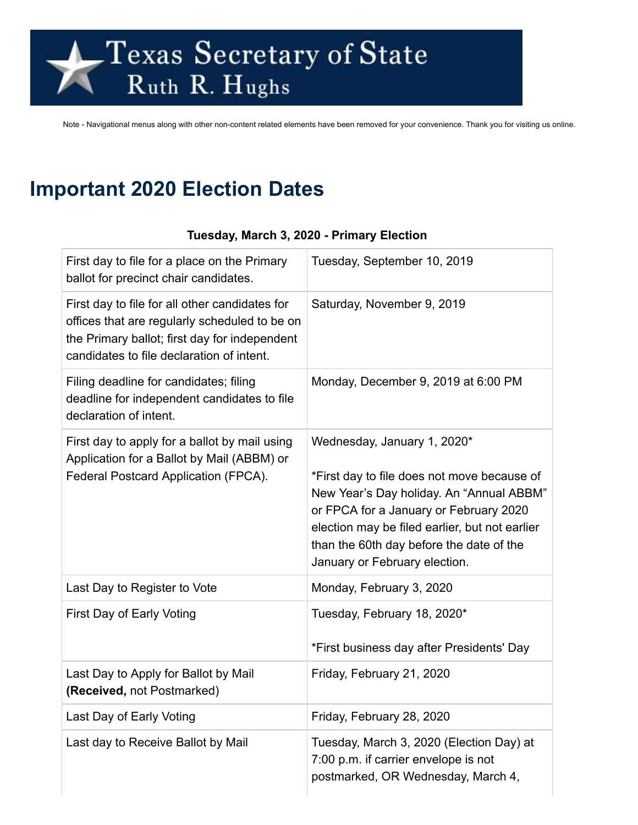# Texas Secretary of State<br>Ruth R. Hughs

Note - Navigational menus along with other non-content related elements have been removed for your convenience. Thank you for visiting us online.

# **Important 2020 Election Dates**

| First day to file for a place on the Primary<br>ballot for precinct chair candidates.                                                                                                         | Tuesday, September 10, 2019                                                                                                                                                                                                                                                                     |
|-----------------------------------------------------------------------------------------------------------------------------------------------------------------------------------------------|-------------------------------------------------------------------------------------------------------------------------------------------------------------------------------------------------------------------------------------------------------------------------------------------------|
| First day to file for all other candidates for<br>offices that are regularly scheduled to be on<br>the Primary ballot; first day for independent<br>candidates to file declaration of intent. | Saturday, November 9, 2019                                                                                                                                                                                                                                                                      |
| Filing deadline for candidates; filing<br>deadline for independent candidates to file<br>declaration of intent.                                                                               | Monday, December 9, 2019 at 6:00 PM                                                                                                                                                                                                                                                             |
| First day to apply for a ballot by mail using<br>Application for a Ballot by Mail (ABBM) or<br>Federal Postcard Application (FPCA).                                                           | Wednesday, January 1, 2020*<br>*First day to file does not move because of<br>New Year's Day holiday. An "Annual ABBM"<br>or FPCA for a January or February 2020<br>election may be filed earlier, but not earlier<br>than the 60th day before the date of the<br>January or February election. |
| Last Day to Register to Vote                                                                                                                                                                  | Monday, February 3, 2020                                                                                                                                                                                                                                                                        |
| First Day of Early Voting                                                                                                                                                                     | Tuesday, February 18, 2020*<br>*First business day after Presidents' Day                                                                                                                                                                                                                        |
| Last Day to Apply for Ballot by Mail<br>(Received, not Postmarked)                                                                                                                            | Friday, February 21, 2020                                                                                                                                                                                                                                                                       |
| Last Day of Early Voting                                                                                                                                                                      | Friday, February 28, 2020                                                                                                                                                                                                                                                                       |
| Last day to Receive Ballot by Mail                                                                                                                                                            | Tuesday, March 3, 2020 (Election Day) at<br>7:00 p.m. if carrier envelope is not<br>postmarked, OR Wednesday, March 4,                                                                                                                                                                          |

#### **Tuesday, March 3, 2020 - Primary Election**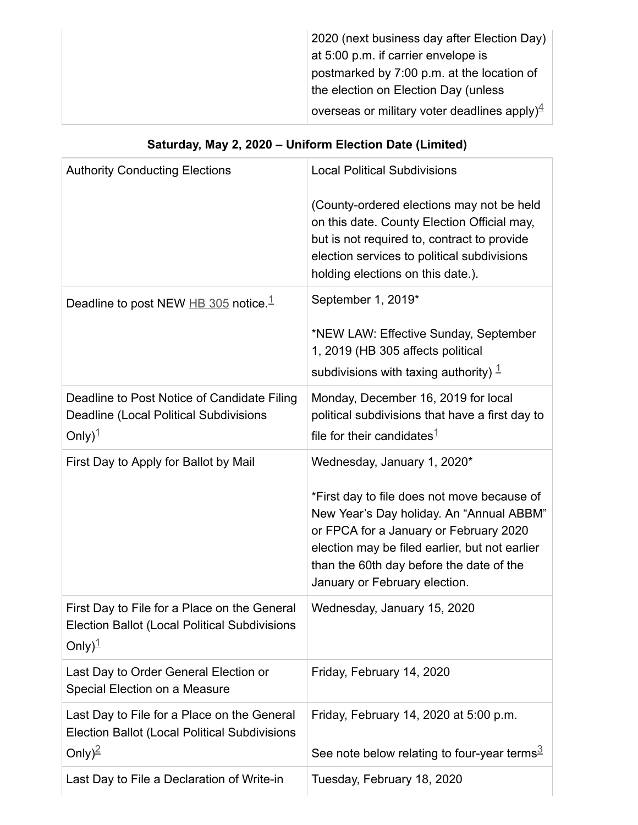| 2020 (next business day after Election Day)               |
|-----------------------------------------------------------|
| at 5:00 p.m. if carrier envelope is                       |
| postmarked by 7:00 p.m. at the location of                |
| the election on Election Day (unless                      |
| overseas or military voter deadlines apply) $\frac{4}{7}$ |

## **Saturday, May 2, 2020 – Uniform Election Date (Limited)**

| <b>Authority Conducting Elections</b>                                                                                            | <b>Local Political Subdivisions</b>                                                                                                                                                                                                                              |
|----------------------------------------------------------------------------------------------------------------------------------|------------------------------------------------------------------------------------------------------------------------------------------------------------------------------------------------------------------------------------------------------------------|
|                                                                                                                                  | (County-ordered elections may not be held<br>on this date. County Election Official may,<br>but is not required to, contract to provide<br>election services to political subdivisions<br>holding elections on this date.).                                      |
| Deadline to post NEW $\overline{HB}$ 305 notice. <sup>1</sup>                                                                    | September 1, 2019*                                                                                                                                                                                                                                               |
|                                                                                                                                  | *NEW LAW: Effective Sunday, September<br>1, 2019 (HB 305 affects political<br>subdivisions with taxing authority) $1$                                                                                                                                            |
| Deadline to Post Notice of Candidate Filing<br><b>Deadline (Local Political Subdivisions</b><br>Only) $1$                        | Monday, December 16, 2019 for local<br>political subdivisions that have a first day to<br>file for their candidates $1$                                                                                                                                          |
| First Day to Apply for Ballot by Mail                                                                                            | Wednesday, January 1, 2020*                                                                                                                                                                                                                                      |
|                                                                                                                                  | *First day to file does not move because of<br>New Year's Day holiday. An "Annual ABBM"<br>or FPCA for a January or February 2020<br>election may be filed earlier, but not earlier<br>than the 60th day before the date of the<br>January or February election. |
| First Day to File for a Place on the General<br><b>Election Ballot (Local Political Subdivisions</b><br>Only $)^{\underline{1}}$ | Wednesday, January 15, 2020                                                                                                                                                                                                                                      |
| Last Day to Order General Election or<br>Special Election on a Measure                                                           | Friday, February 14, 2020                                                                                                                                                                                                                                        |
| Last Day to File for a Place on the General<br><b>Election Ballot (Local Political Subdivisions</b><br>Only) <sup>2</sup>        | Friday, February 14, 2020 at 5:00 p.m.<br>See note below relating to four-year terms $\frac{3}{2}$                                                                                                                                                               |
| Last Day to File a Declaration of Write-in                                                                                       | Tuesday, February 18, 2020                                                                                                                                                                                                                                       |
|                                                                                                                                  |                                                                                                                                                                                                                                                                  |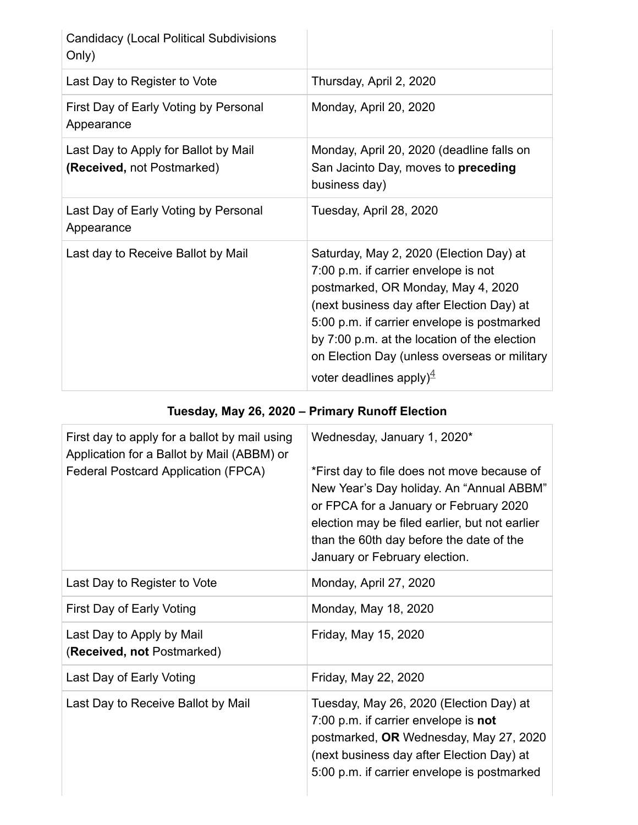| <b>Candidacy (Local Political Subdivisions</b><br>Only)            |                                                                                                                                                                                                                                                                                                                                                           |
|--------------------------------------------------------------------|-----------------------------------------------------------------------------------------------------------------------------------------------------------------------------------------------------------------------------------------------------------------------------------------------------------------------------------------------------------|
| Last Day to Register to Vote                                       | Thursday, April 2, 2020                                                                                                                                                                                                                                                                                                                                   |
| First Day of Early Voting by Personal<br>Appearance                | Monday, April 20, 2020                                                                                                                                                                                                                                                                                                                                    |
| Last Day to Apply for Ballot by Mail<br>(Received, not Postmarked) | Monday, April 20, 2020 (deadline falls on<br>San Jacinto Day, moves to preceding<br>business day)                                                                                                                                                                                                                                                         |
| Last Day of Early Voting by Personal<br>Appearance                 | Tuesday, April 28, 2020                                                                                                                                                                                                                                                                                                                                   |
| Last day to Receive Ballot by Mail                                 | Saturday, May 2, 2020 (Election Day) at<br>7:00 p.m. if carrier envelope is not<br>postmarked, OR Monday, May 4, 2020<br>(next business day after Election Day) at<br>5:00 p.m. if carrier envelope is postmarked<br>by 7:00 p.m. at the location of the election<br>on Election Day (unless overseas or military<br>voter deadlines apply) $\frac{4}{5}$ |

## **Tuesday, May 26, 2020 – Primary Runoff Election**

| First day to apply for a ballot by mail using<br>Application for a Ballot by Mail (ABBM) or<br><b>Federal Postcard Application (FPCA)</b> | Wednesday, January 1, 2020*<br>*First day to file does not move because of<br>New Year's Day holiday. An "Annual ABBM"<br>or FPCA for a January or February 2020<br>election may be filed earlier, but not earlier<br>than the 60th day before the date of the<br>January or February election. |
|-------------------------------------------------------------------------------------------------------------------------------------------|-------------------------------------------------------------------------------------------------------------------------------------------------------------------------------------------------------------------------------------------------------------------------------------------------|
| Last Day to Register to Vote                                                                                                              | Monday, April 27, 2020                                                                                                                                                                                                                                                                          |
| First Day of Early Voting                                                                                                                 | Monday, May 18, 2020                                                                                                                                                                                                                                                                            |
| Last Day to Apply by Mail<br>(Received, not Postmarked)                                                                                   | Friday, May 15, 2020                                                                                                                                                                                                                                                                            |
| Last Day of Early Voting                                                                                                                  | Friday, May 22, 2020                                                                                                                                                                                                                                                                            |
| Last Day to Receive Ballot by Mail                                                                                                        | Tuesday, May 26, 2020 (Election Day) at<br>7:00 p.m. if carrier envelope is not<br>postmarked, OR Wednesday, May 27, 2020<br>(next business day after Election Day) at<br>5:00 p.m. if carrier envelope is postmarked                                                                           |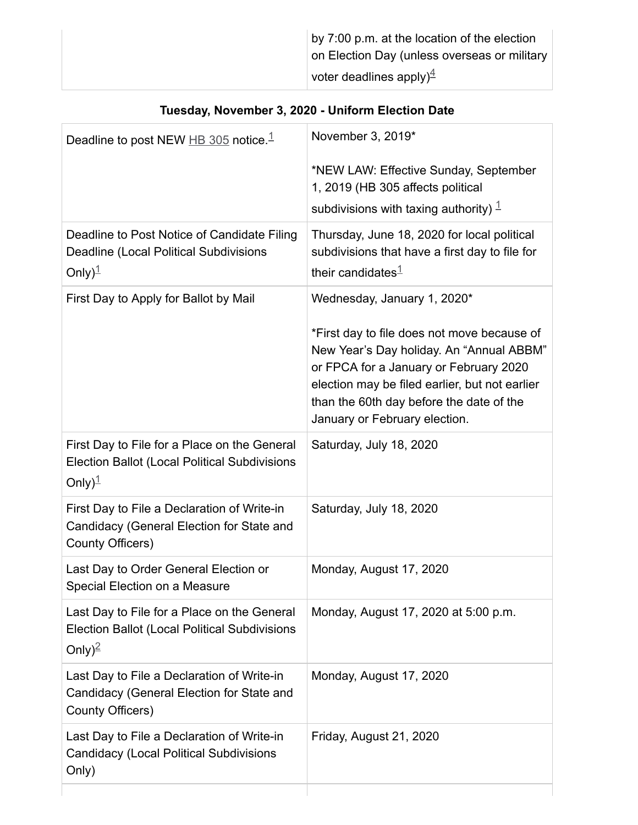|  | by 7:00 p.m. at the location of the election<br>on Election Day (unless overseas or military<br>voter deadlines apply) $\frac{4}{7}$ |
|--|--------------------------------------------------------------------------------------------------------------------------------------|
|--|--------------------------------------------------------------------------------------------------------------------------------------|

| Deadline to post NEW $\overline{HB}$ 305 notice. <sup>1</sup>                                                                    | November 3, 2019*                                                                                                                                                                                                                                                                               |
|----------------------------------------------------------------------------------------------------------------------------------|-------------------------------------------------------------------------------------------------------------------------------------------------------------------------------------------------------------------------------------------------------------------------------------------------|
|                                                                                                                                  | *NEW LAW: Effective Sunday, September<br>1, 2019 (HB 305 affects political<br>subdivisions with taxing authority) $1$                                                                                                                                                                           |
| Deadline to Post Notice of Candidate Filing<br><b>Deadline (Local Political Subdivisions</b><br>Only $)^{\underline{1}}$         | Thursday, June 18, 2020 for local political<br>subdivisions that have a first day to file for<br>their candidates $1$                                                                                                                                                                           |
| First Day to Apply for Ballot by Mail                                                                                            | Wednesday, January 1, 2020*<br>*First day to file does not move because of<br>New Year's Day holiday. An "Annual ABBM"<br>or FPCA for a January or February 2020<br>election may be filed earlier, but not earlier<br>than the 60th day before the date of the<br>January or February election. |
| First Day to File for a Place on the General<br><b>Election Ballot (Local Political Subdivisions</b><br>Only $)^{\underline{1}}$ | Saturday, July 18, 2020                                                                                                                                                                                                                                                                         |
| First Day to File a Declaration of Write-in<br>Candidacy (General Election for State and<br>County Officers)                     | Saturday, July 18, 2020                                                                                                                                                                                                                                                                         |
| Last Day to Order General Election or<br>Special Election on a Measure                                                           | Monday, August 17, 2020                                                                                                                                                                                                                                                                         |
| Last Day to File for a Place on the General<br><b>Election Ballot (Local Political Subdivisions</b><br>Only) <sup>2</sup>        | Monday, August 17, 2020 at 5:00 p.m.                                                                                                                                                                                                                                                            |
| Last Day to File a Declaration of Write-in<br>Candidacy (General Election for State and<br>County Officers)                      | Monday, August 17, 2020                                                                                                                                                                                                                                                                         |
| Last Day to File a Declaration of Write-in<br><b>Candidacy (Local Political Subdivisions</b><br>Only)                            | Friday, August 21, 2020                                                                                                                                                                                                                                                                         |
|                                                                                                                                  |                                                                                                                                                                                                                                                                                                 |

#### **Tuesday, November 3, 2020 - Uniform Election Date**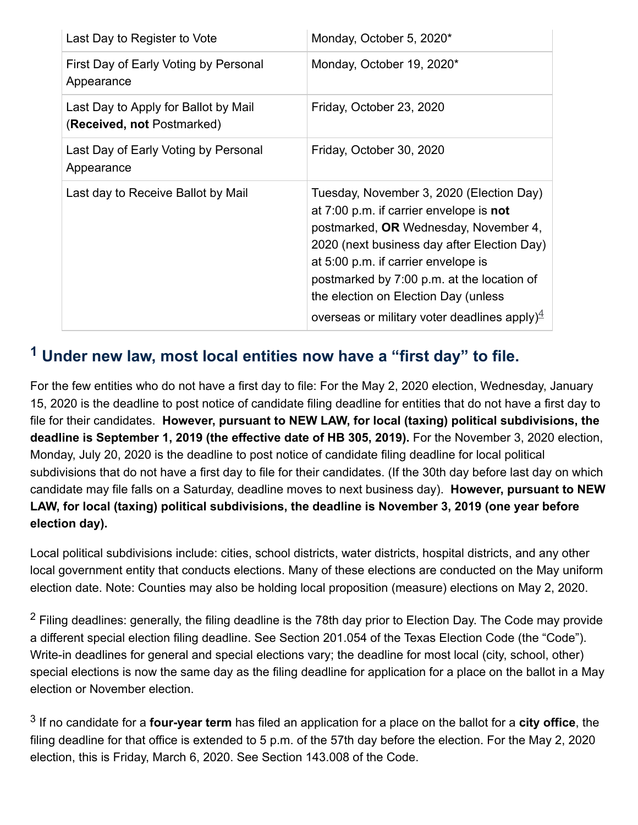| Last Day to Register to Vote                                       | Monday, October 5, 2020*                                                                                                                                                                                                                                                                                                                                              |
|--------------------------------------------------------------------|-----------------------------------------------------------------------------------------------------------------------------------------------------------------------------------------------------------------------------------------------------------------------------------------------------------------------------------------------------------------------|
| First Day of Early Voting by Personal<br>Appearance                | Monday, October 19, 2020*                                                                                                                                                                                                                                                                                                                                             |
| Last Day to Apply for Ballot by Mail<br>(Received, not Postmarked) | Friday, October 23, 2020                                                                                                                                                                                                                                                                                                                                              |
| Last Day of Early Voting by Personal<br>Appearance                 | Friday, October 30, 2020                                                                                                                                                                                                                                                                                                                                              |
| Last day to Receive Ballot by Mail                                 | Tuesday, November 3, 2020 (Election Day)<br>at 7:00 p.m. if carrier envelope is not<br>postmarked, OR Wednesday, November 4,<br>2020 (next business day after Election Day)<br>at 5:00 p.m. if carrier envelope is<br>postmarked by 7:00 p.m. at the location of<br>the election on Election Day (unless<br>overseas or military voter deadlines apply) $\frac{4}{7}$ |

#### <span id="page-4-0"></span>**<sup>1</sup> Under new law, most local entities now have a "first day" to file.**

For the few entities who do not have a first day to file: For the May 2, 2020 election, Wednesday, January 15, 2020 is the deadline to post notice of candidate filing deadline for entities that do not have a first day to file for their candidates. **However, pursuant to NEW LAW, for local (taxing) political subdivisions, the deadline is September 1, 2019 (the effective date of HB 305, 2019).** For the November 3, 2020 election, Monday, July 20, 2020 is the deadline to post notice of candidate filing deadline for local political subdivisions that do not have a first day to file for their candidates. (If the 30th day before last day on which candidate may file falls on a Saturday, deadline moves to next business day). **However, pursuant to NEW LAW, for local (taxing) political subdivisions, the deadline is November 3, 2019 (one year before election day).**

Local political subdivisions include: cities, school districts, water districts, hospital districts, and any other local government entity that conducts elections. Many of these elections are conducted on the May uniform election date. Note: Counties may also be holding local proposition (measure) elections on May 2, 2020.

<span id="page-4-1"></span> $2$  Filing deadlines: generally, the filing deadline is the 78th day prior to Election Day. The Code may provide a different special election filing deadline. See Section 201.054 of the Texas Election Code (the "Code"). Write-in deadlines for general and special elections vary; the deadline for most local (city, school, other) special elections is now the same day as the filing deadline for application for a place on the ballot in a May election or November election.

<span id="page-4-2"></span>3 If no candidate for a **four-year term** has filed an application for a place on the ballot for a **city office**, the filing deadline for that office is extended to 5 p.m. of the 57th day before the election. For the May 2, 2020 election, this is Friday, March 6, 2020. See Section 143.008 of the Code.